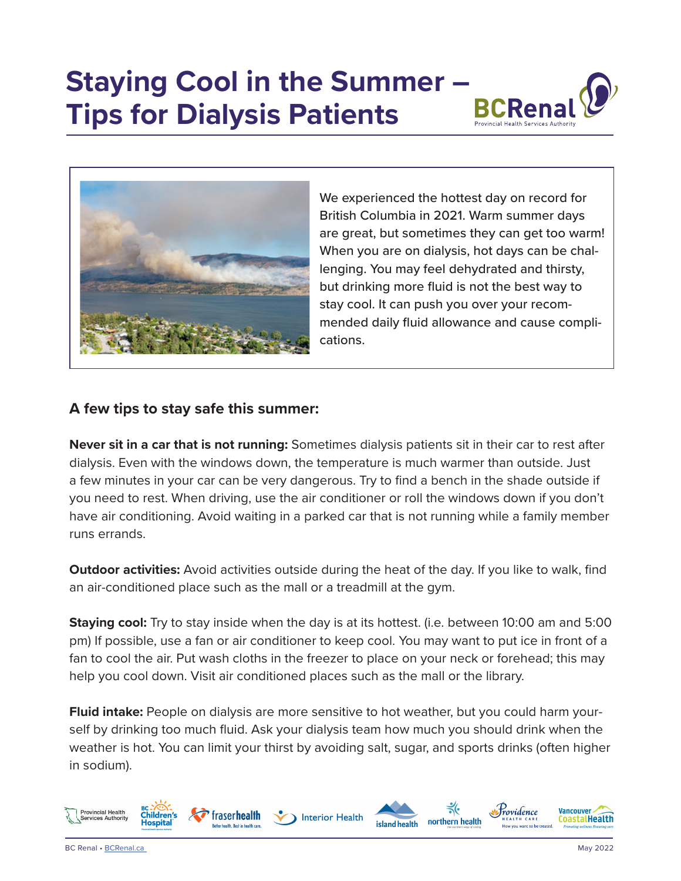## **Staying Cool in the Summer – Tips for Dialysis Patients**





We experienced the hottest day on record for British Columbia in 2021. Warm summer days are great, but sometimes they can get too warm! When you are on dialysis, hot days can be challenging. You may feel dehydrated and thirsty, but drinking more fluid is not the best way to stay cool. It can push you over your recommended daily fluid allowance and cause complications.

## **A few tips to stay safe this summer:**

**Never sit in a car that is not running:** Sometimes dialysis patients sit in their car to rest after dialysis. Even with the windows down, the temperature is much warmer than outside. Just a few minutes in your car can be very dangerous. Try to find a bench in the shade outside if you need to rest. When driving, use the air conditioner or roll the windows down if you don't have air conditioning. Avoid waiting in a parked car that is not running while a family member runs errands.

**Outdoor activities:** Avoid activities outside during the heat of the day. If you like to walk, find an air-conditioned place such as the mall or a treadmill at the gym.

**Staying cool:** Try to stay inside when the day is at its hottest. (i.e. between 10:00 am and 5:00 pm) If possible, use a fan or air conditioner to keep cool. You may want to put ice in front of a fan to cool the air. Put wash cloths in the freezer to place on your neck or forehead; this may help you cool down. Visit air conditioned places such as the mall or the library.

**Fluid intake:** People on dialysis are more sensitive to hot weather, but you could harm yourself by drinking too much fluid. Ask your dialysis team how much you should drink when the weather is hot. You can limit your thirst by avoiding salt, sugar, and sports drinks (often higher in sodium).